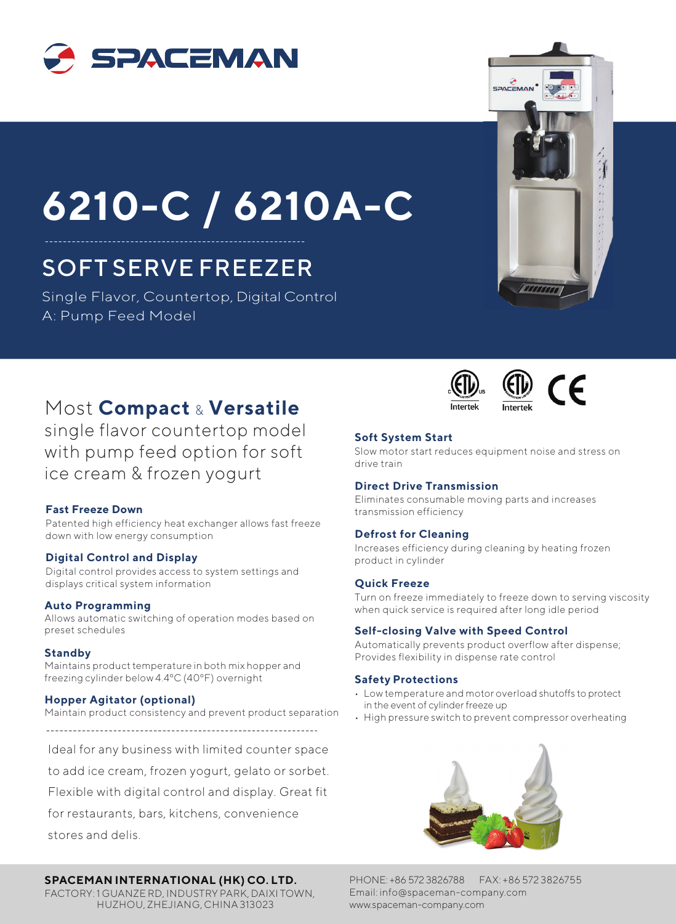

# **6210-C / 6210A-C**

## SOFT SERVE FREEZER

Single Flavor, Countertop, Digital Control A: Pump Feed Model





# CE

### Most **Compact** & **Versatile**

single flavor countertop model with pump feed option for soft ice cream & frozen yogurt

#### **Fast Freeze Down**

Patented high efficiency heat exchanger allows fast freeze down with low energy consumption

#### **Digital Control and Display**

Digital control provides access to system settings and displays critical system information

preset schedules

#### **Standby**

Maintains product temperature in both mix hopper and freezing cylinder below 4.4ºC (40ºF) overnight

#### **Hopper Agitator (optional)**

Maintain product consistency and prevent product separation

Ideal for any business with limited counter space

to add ice cream, frozen yogurt, gelato or sorbet.

Flexible with digital control and display. Great fit

for restaurants, bars, kitchens, convenience

stores and delis.

#### **SPACEMAN INTERNATIONAL (HK) CO. LTD.**

FACTORY: 1 GUANZE RD, INDUSTRY PARK, DAIXI TOWN, HUZHOU, ZHEJIANG, CHINA 313023

#### **Soft System Start**

Slow motor start reduces equipment noise and stress on drive train

#### **Direct Drive Transmission**

Eliminates consumable moving parts and increases transmission efficiency

#### **Defrost for Cleaning**

Increases efficiency during cleaning by heating frozen product in cylinder

#### **Quick Freeze**

Turn on freeze immediately to freeze down to serving viscosity<br> **Allo**ws automatic switching of operation modes based on when quick service is required after long idle period<br>
Allows automatic switching of operation modes

#### **Self-closing Valve with Speed Control**

Automatically prevents product overflow after dispense; Provides flexibility in dispense rate control

#### **Safety Protections**

- Low temperature and motor overload shutoffs to protect in the event of cylinder freeze up
- High pressure switch to prevent compressor overheating



PHONE: +86 572 3826788 FAX: +86 572 3826755 Email: info@spaceman-company.com www.spaceman-company.com